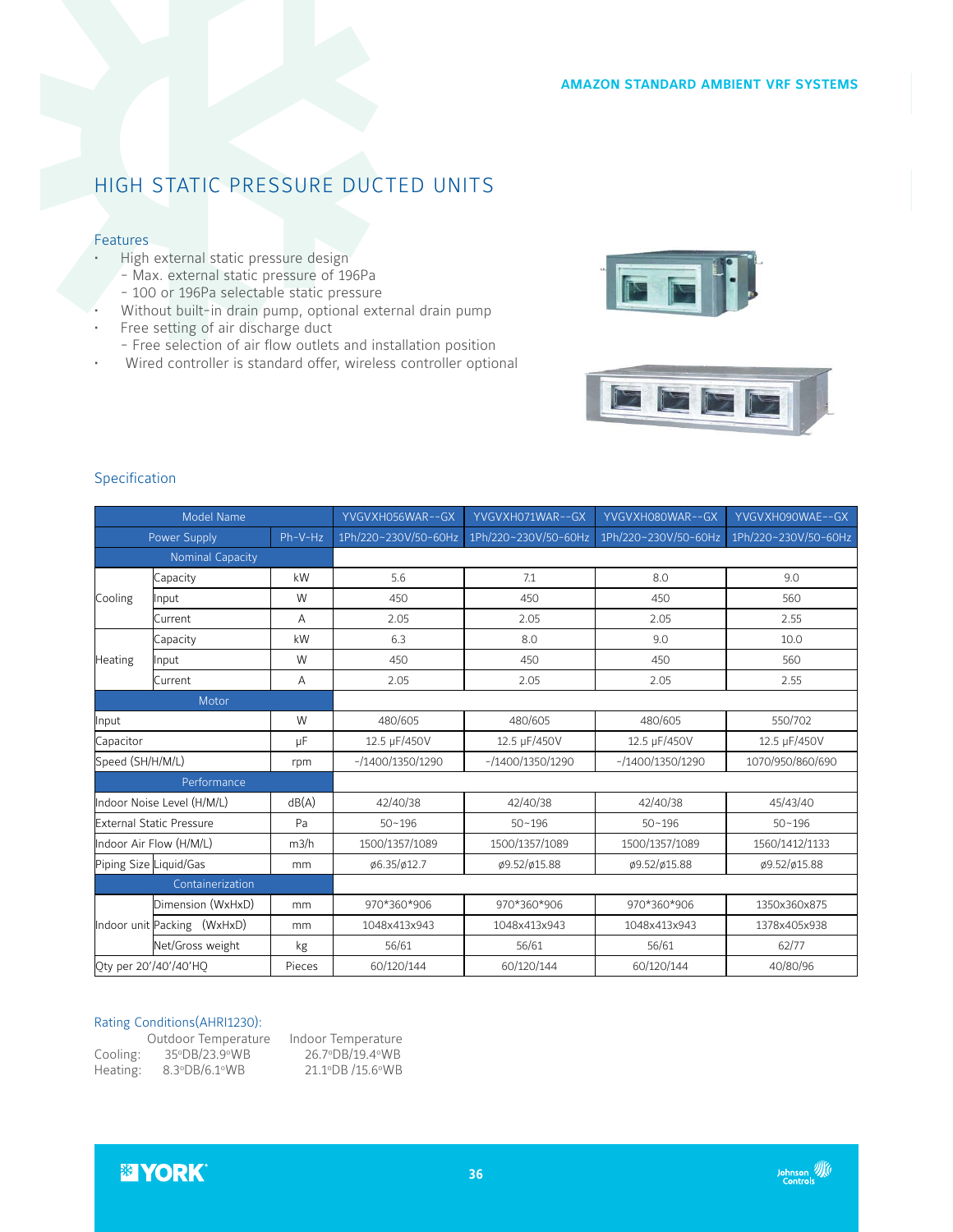### **AMAZON STANDARD AMBIENT VRF SYSTEMS**

# HIGH STATIC PRESSURE DUCTED UNITS

## Features

- High external static pressure design
	- Max. external static pressure of 196Pa
	- 100 or 196Pa selectable static pressure
- Without built-in drain pump, optional external drain pump
- Free setting of air discharge duct
- Free selection of air flow outlets and installation position
- Wired controller is standard offer, wireless controller optional





|  |  | <b>Specification</b> |  |
|--|--|----------------------|--|
|  |  |                      |  |

| Model Name                            |                             | YVGVXH056WAR--GX<br>YVGVXH071WAR--GX |                      | YVGVXH080WAR--GX         | YVGVXH090WAE--GX         |                  |
|---------------------------------------|-----------------------------|--------------------------------------|----------------------|--------------------------|--------------------------|------------------|
| Ph-V-Hz<br>Power Supply               |                             | 1Ph/220~230V/50-60Hz                 | 1Ph/220~230V/50-60Hz | 1Ph/220~230V/50-60Hz     | 1Ph/220~230V/50-60Hz     |                  |
| <b>Nominal Capacity</b>               |                             |                                      |                      |                          |                          |                  |
|                                       | Capacity                    | kW                                   | 5.6                  | 7.1                      | 8.0                      | 9.0              |
| Cooling                               | Input                       | W                                    | 450                  | 450                      | 450                      | 560              |
|                                       | Current                     | A                                    | 2.05                 | 2.05                     | 2.05                     | 2.55             |
| Heating                               | Capacity                    | kW                                   | 6.3                  | 8.0                      | 9.0                      | 10.0             |
|                                       | Input                       | W                                    | 450                  | 450                      | 450                      | 560              |
|                                       | Current                     | A                                    | 2.05                 | 2.05                     | 2.05                     | 2.55             |
| Motor                                 |                             |                                      |                      |                          |                          |                  |
| Input<br>W                            |                             | 480/605                              | 480/605              | 480/605                  | 550/702                  |                  |
| Capacitor<br>μF                       |                             |                                      | 12.5 µF/450V         | 12.5 µF/450V             | 12.5 µF/450V             | 12.5 µF/450V     |
| Speed (SH/H/M/L)<br>rpm               |                             |                                      | $-1400/1350/1290$    | $- / 1400 / 1350 / 1290$ | $- / 1400 / 1350 / 1290$ | 1070/950/860/690 |
| Performance                           |                             |                                      |                      |                          |                          |                  |
| dB(A)<br>Indoor Noise Level (H/M/L)   |                             | 42/40/38                             | 42/40/38             | 42/40/38                 | 45/43/40                 |                  |
| <b>External Static Pressure</b><br>Pa |                             |                                      | $50 - 196$           | $50 - 196$               | $50 - 196$               | $50 - 196$       |
| Indoor Air Flow (H/M/L)<br>m3/h       |                             |                                      | 1500/1357/1089       | 1500/1357/1089           | 1500/1357/1089           | 1560/1412/1133   |
| Piping Size Liquid/Gas<br>mm          |                             | ø6.35/ø12.7                          | ø9.52/ø15.88         | ø9.52/ø15.88             | ø9.52/ø15.88             |                  |
| Containerization                      |                             |                                      |                      |                          |                          |                  |
|                                       | Dimension (WxHxD)           | mm                                   | 970*360*906          | 970*360*906              | 970*360*906              | 1350x360x875     |
|                                       | Indoor unit Packing (WxHxD) | mm                                   | 1048x413x943         | 1048x413x943             | 1048x413x943             | 1378x405x938     |
|                                       | Net/Gross weight            | kg                                   | 56/61                | 56/61                    | 56/61                    | 62/77            |
| Qty per 20'/40'/40'HQ<br>Pieces       |                             |                                      | 60/120/144           | 60/120/144               | 60/120/144               | 40/80/96         |

#### Rating Conditions(AHRI1230):

|          | Outdoor Temperature | Indoor Temperature |
|----------|---------------------|--------------------|
| Cooling: | 35°DB/23.9°WB       | 26.7°DB/19.4°WB    |
| Heating: | 8.3°DB/6.1°WB       | 21.1°DB /15.6°WB   |